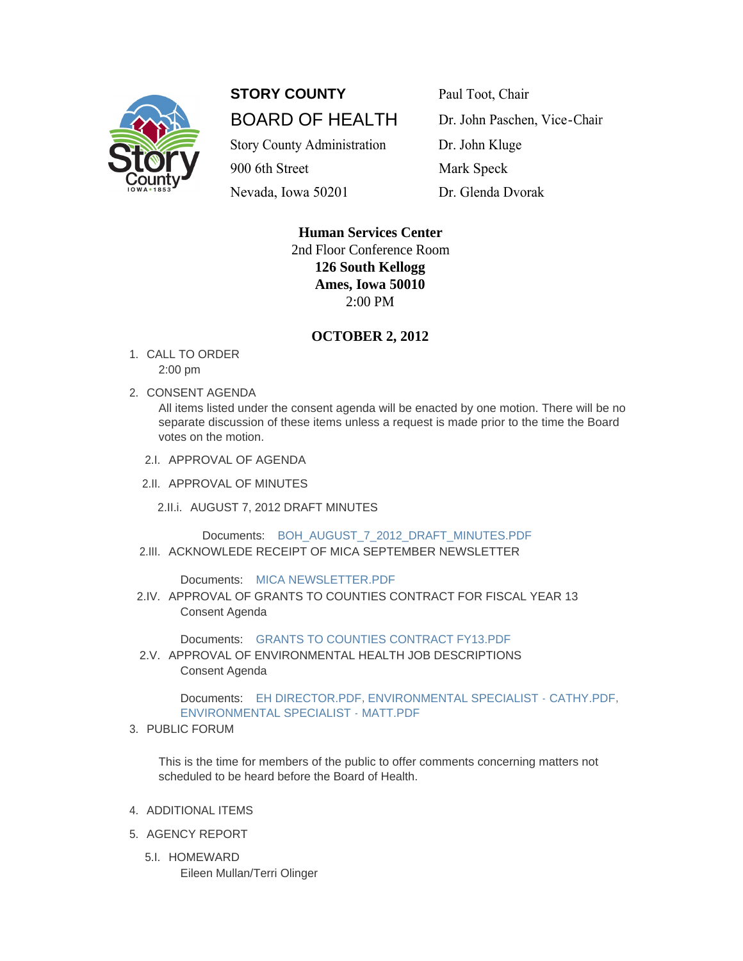

## **STORY COUNTY** Paul Toot, Chair BOARD OF HEALTH Dr. John Paschen, Vice-Chair

Story County Administration Dr. John Kluge

900 6th Street Mark Speck Nevada, Iowa 50201 Dr. Glenda Dvorak

> **Human Services Center** 2nd Floor Conference Room **126 South Kellogg Ames, Iowa 50010** 2:00 PM

## **OCTOBER 2, 2012**

- 1. CALL TO ORDER 2:00 pm
- 2. CONSENT AGENDA

All items listed under the consent agenda will be enacted by one motion. There will be no separate discussion of these items unless a request is made prior to the time the Board votes on the motion.

- 2.I. APPROVAL OF AGENDA
- 2.II. APPROVAL OF MINUTES
	- 2.II.i. AUGUST 7, 2012 DRAFT MINUTES

Documents: [BOH\\_AUGUST\\_7\\_2012\\_DRAFT\\_MINUTES.PDF](http://www.storycountyiowa.gov/Files/AgendaCenter/Items/925/BOH_AUGUST_7_2012_DRAFT_MINUTES_201209040904058906.pdf) 2.III. ACKNOWLEDE RECEIPT OF MICA SEPTEMBER NEWSLETTER

Documents: [MICA NEWSLETTER.PDF](http://www.storycountyiowa.gov/Files/AgendaCenter/Items/1004/MICA%20NEWSLETTER_201209261514177499.pdf)

2.IV. APPROVAL OF GRANTS TO COUNTIES CONTRACT FOR FISCAL YEAR 13 Consent Agenda

Documents: [GRANTS TO COUNTIES CONTRACT FY13.PDF](http://www.storycountyiowa.gov/Files/AgendaCenter/Items/880/Grants%20to%20Counties%20Contract%20FY13_201208171111257838.pdf)

2.V. APPROVAL OF ENVIRONMENTAL HEALTH JOB DESCRIPTIONS Consent Agenda

> Documents: [EH DIRECTOR.PDF](http://www.storycountyiowa.gov/Files/AgendaCenter/Items/1003/EH%20DIRECTOR_201209251603512926.pdf), [ENVIRONMENTAL SPECIALIST - CATHY.PDF](http://www.storycountyiowa.gov/Files/AgendaCenter/Items/1003/ENVIRONMENTAL%20SPECIALIST%20-%20CATHY_201209261442465468.pdf), [ENVIRONMENTAL SPECIALIST - MATT.PDF](http://www.storycountyiowa.gov/Files/AgendaCenter/Items/1003/ENVIRONMENTAL%20SPECIALIST%20-%20MATT_201209261442465624.pdf)

3. PUBLIC FORUM

This is the time for members of the public to offer comments concerning matters not scheduled to be heard before the Board of Health.

- 4. ADDITIONAL ITEMS
- 5. AGENCY REPORT
	- 5.I. HOMEWARD Eileen Mullan/Terri Olinger